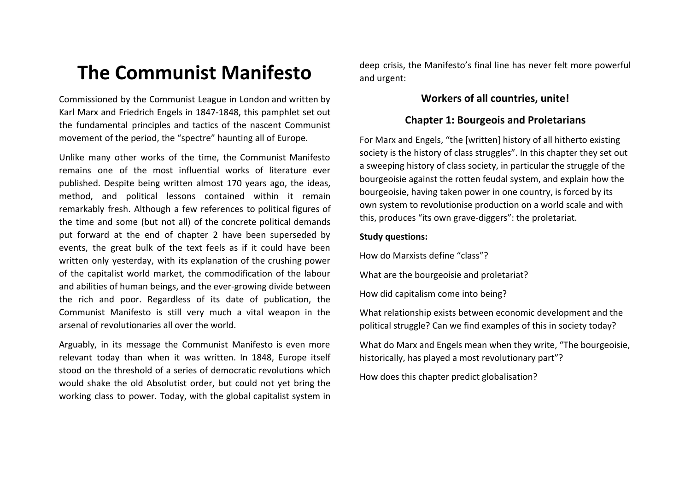# **The Communist Manifesto**

Commissioned by the Communist League in London and written by Karl Marx and Friedrich Engels in 1847-1848, this pamphlet set out the fundamental principles and tactics of the nascent Communist movement of the period, the "spectre" haunting all of Europe.

Unlike many other works of the time, the Communist Manifesto remains one of the most influential works of literature ever published. Despite being written almost 170 years ago, the ideas, method, and political lessons contained within it remain remarkably fresh. Although a few references to political figures of the time and some (but not all) of the concrete political demands put forward at the end of chapter 2 have been superseded by events, the great bulk of the text feels as if it could have been written only yesterday, with its explanation of the crushing power of the capitalist world market, the commodification of the labour and abilities of human beings, and the ever-growing divide between the rich and poor. Regardless of its date of publication, the Communist Manifesto is still very much a vital weapon in the arsenal of revolutionaries all over the world.

Arguably, in its message the Communist Manifesto is even more relevant today than when it was written. In 1848, Europe itself stood on the threshold of a series of democratic revolutions which would shake the old Absolutist order, but could not yet bring the working class to power. Today, with the global capitalist system in deep crisis, the Manifesto's final line has never felt more powerful and urgent:

## **Workers of all countries, unite!**

## **Chapter 1: Bourgeois and Proletarians**

For Marx and Engels, "the [written] history of all hitherto existing society is the history of class struggles". In this chapter they set out a sweeping history of class society, in particular the struggle of the bourgeoisie against the rotten feudal system, and explain how the bourgeoisie, having taken power in one country, is forced by its own system to revolutionise production on a world scale and with this, produces "its own grave-diggers": the proletariat.

#### **Study questions:**

How do Marxists define "class"?

What are the bourgeoisie and proletariat?

How did capitalism come into being?

What relationship exists between economic development and the political struggle? Can we find examples of this in society today?

What do Marx and Engels mean when they write, "The bourgeoisie, historically, has played a most revolutionary part"?

How does this chapter predict globalisation?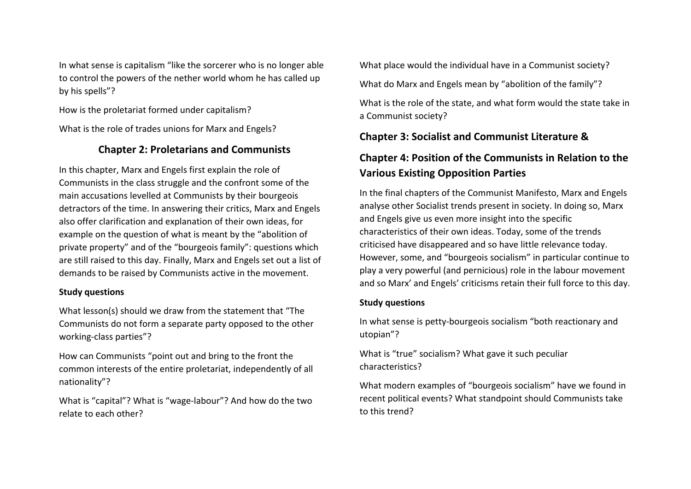In what sense is capitalism "like the sorcerer who is no longer able to control the powers of the nether world whom he has called up by his spells"?

How is the proletariat formed under capitalism?

What is the role of trades unions for Marx and Engels?

## **Chapter 2: Proletarians and Communists**

In this chapter, Marx and Engels first explain the role of Communists in the class struggle and the confront some of the main accusations levelled at Communists by their bourgeois detractors of the time. In answering their critics, Marx and Engels also offer clarification and explanation of their own ideas, for example on the question of what is meant by the "abolition of private property" and of the "bourgeois family": questions which are still raised to this day. Finally, Marx and Engels set out a list of demands to be raised by Communists active in the movement.

#### **Study questions**

What lesson(s) should we draw from the statement that "The Communists do not form a separate party opposed to the other working-class parties"?

How can Communists "point out and bring to the front the common interests of the entire proletariat, independently of all nationality"?

What is "capital"? What is "wage-labour"? And how do the two relate to each other?

What place would the individual have in a Communist society?

What do Marx and Engels mean by "abolition of the family"?

What is the role of the state, and what form would the state take in a Communist society?

## **Chapter 3: Socialist and Communist Literature &**

# **Chapter 4: Position of the Communists in Relation to the Various Existing Opposition Parties**

In the final chapters of the Communist Manifesto, Marx and Engels analyse other Socialist trends present in society. In doing so, Marx and Engels give us even more insight into the specific characteristics of their own ideas. Today, some of the trends criticised have disappeared and so have little relevance today. However, some, and "bourgeois socialism" in particular continue to play a very powerful (and pernicious) role in the labour movement and so Marx' and Engels' criticisms retain their full force to this day.

#### **Study questions**

In what sense is petty-bourgeois socialism "both reactionary and utopian"?

What is "true" socialism? What gave it such peculiar characteristics?

What modern examples of "bourgeois socialism" have we found in recent political events? What standpoint should Communists take to this trend?